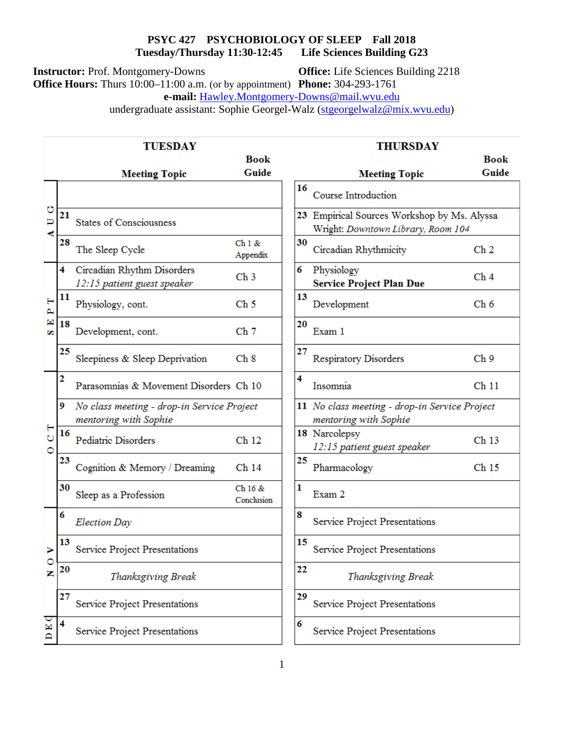### **PSYC 427** PSYCHOBIOLOGY OF SLEEP Fall 2018<br> **All 2018**<br> **PSYCHOBIOLOGY OF SLEEP Fall 2018**<br> **Differences** Building G23 **Tuesday/Thursday 11:30-12:45**

**Instructor:** Prof. Montgomery-Downs **Office:** Life Sciences Building 2218

**Office Hours:** Thurs 10:00–11:00 a.m. (or by appointment) **Phone:** 304-293-1761

**e-mail:** [Hawley.Montgomery-Downs@mail.wvu.edu](mailto:Hawley.Montgomery-Downs@mail.wvu.edu)

undergraduate assistant: Sophie Georgel-Walz [\(stgeorgelwalz@mix.wvu.edu\)](mailto:stgeorgelwalz@mix.wvu.edu)

|                  | <b>TUESDAY</b> |                                                                     |                       |    | <b>THURSDAY</b>                                                                   |                  |  |
|------------------|----------------|---------------------------------------------------------------------|-----------------------|----|-----------------------------------------------------------------------------------|------------------|--|
|                  |                |                                                                     | <b>Book</b>           |    |                                                                                   | <b>Book</b>      |  |
|                  |                | <b>Meeting Topic</b>                                                | Guide                 |    | <b>Meeting Topic</b>                                                              | Guide            |  |
| Ü<br>Þ<br>ď,     |                |                                                                     |                       | 16 | Course Introduction                                                               |                  |  |
|                  | 21             | <b>States of Consciousness</b>                                      |                       |    | 23 Empirical Sources Workshop by Ms. Alyssa<br>Wright: Downtown Library, Room 104 |                  |  |
|                  | 28             | The Sleep Cycle                                                     | Ch1 &<br>Appendix     | 30 | Circadian Rhythmicity                                                             | Ch <sub>2</sub>  |  |
| н<br>д<br>圍<br>w | 4              | Circadian Rhythm Disorders<br>12:15 patient guest speaker           | Ch <sub>3</sub>       | 6  | Physiology<br><b>Service Project Plan Due</b>                                     | Ch <sub>4</sub>  |  |
|                  | 11             | Physiology, cont.                                                   | Ch <sub>5</sub>       | 13 | Development                                                                       | Ch <sub>6</sub>  |  |
|                  | 18             | Development, cont.                                                  | Ch <sub>7</sub>       | 20 | Exam 1                                                                            |                  |  |
|                  | 25             | Sleepiness & Sleep Deprivation                                      | Ch 8                  | 27 | <b>Respiratory Disorders</b>                                                      | Ch <sub>9</sub>  |  |
| н<br>Ò<br>Ō      | 2              | Parasomnias & Movement Disorders Ch 10                              |                       | 4  | Insomnia                                                                          | Ch <sub>11</sub> |  |
|                  | 9              | No class meeting - drop-in Service Project<br>mentoring with Sophie |                       |    | 11 No class meeting - drop-in Service Project<br>mentoring with Sophie            |                  |  |
|                  | 16             | Pediatric Disorders                                                 | Ch <sub>12</sub>      |    | 18 Narcolepsy<br>12:15 patient guest speaker                                      | Ch <sub>13</sub> |  |
|                  | 23             | Cognition & Memory / Dreaming                                       | Ch <sub>14</sub>      | 25 | Pharmacology                                                                      | Ch <sub>15</sub> |  |
|                  | 30             | Sleep as a Profession                                               | Ch 16 &<br>Conclusion | 1  | Exam 2                                                                            |                  |  |
| O<br>z           | 6              | <b>Election Day</b>                                                 |                       | 8  | Service Project Presentations                                                     |                  |  |
|                  | 13             | Service Project Presentations                                       |                       | 15 | Service Project Presentations                                                     |                  |  |
|                  | 20             | Thanksgiving Break                                                  |                       | 22 | Thanksgiving Break                                                                |                  |  |
|                  | 27             | Service Project Presentations                                       |                       | 29 | <b>Service Project Presentations</b>                                              |                  |  |
| E)               | 4              | Service Project Presentations                                       |                       | 6  | <b>Service Project Presentations</b>                                              |                  |  |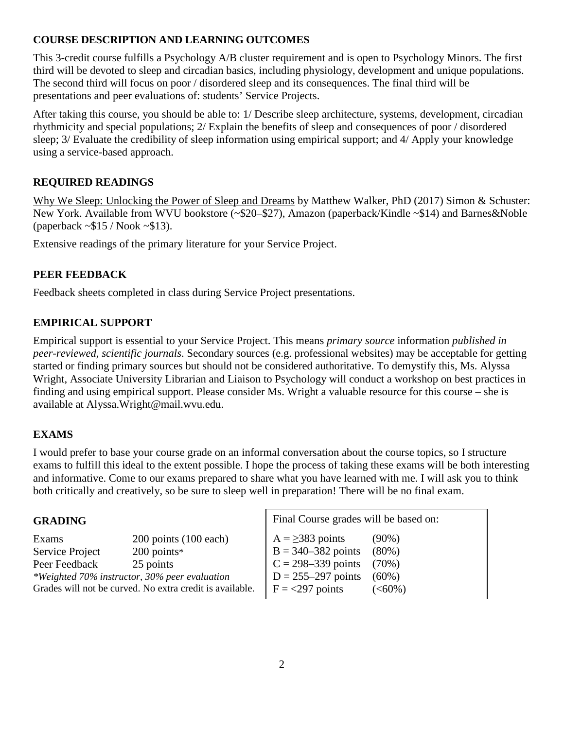# **COURSE DESCRIPTION AND LEARNING OUTCOMES**

This 3-credit course fulfills a Psychology A/B cluster requirement and is open to Psychology Minors. The first third will be devoted to sleep and circadian basics, including physiology, development and unique populations. The second third will focus on poor / disordered sleep and its consequences. The final third will be presentations and peer evaluations of: students' Service Projects.

After taking this course, you should be able to: 1/ Describe sleep architecture, systems, development, circadian rhythmicity and special populations; 2/ Explain the benefits of sleep and consequences of poor / disordered sleep; 3/ Evaluate the credibility of sleep information using empirical support; and 4/ Apply your knowledge using a service-based approach.

# **REQUIRED READINGS**

Why We Sleep: Unlocking the Power of Sleep and Dreams by Matthew Walker, PhD (2017) Simon & Schuster: New York. Available from WVU bookstore (~\$20–\$27), Amazon (paperback/Kindle ~\$14) and Barnes&Noble (paperback  $\sim$ \$15 / Nook  $\sim$ \$13).

Extensive readings of the primary literature for your Service Project.

## **PEER FEEDBACK**

Feedback sheets completed in class during Service Project presentations.

# **EMPIRICAL SUPPORT**

Empirical support is essential to your Service Project. This means *primary source* information *published in peer-reviewed, scientific journals*. Secondary sources (e.g. professional websites) may be acceptable for getting started or finding primary sources but should not be considered authoritative. To demystify this, Ms. Alyssa Wright, Associate University Librarian and Liaison to Psychology will conduct a workshop on best practices in finding and using empirical support. Please consider Ms. Wright a valuable resource for this course – she is available at Alyssa.Wright@mail.wvu.edu.

## **EXAMS**

I would prefer to base your course grade on an informal conversation about the course topics, so I structure exams to fulfill this ideal to the extent possible. I hope the process of taking these exams will be both interesting and informative. Come to our exams prepared to share what you have learned with me. I will ask you to think both critically and creatively, so be sure to sleep well in preparation! There will be no final exam.

## **GRADING**

| $200$ points $(100$ each)                                | $A = \geq 38$ |  |  |  |  |  |
|----------------------------------------------------------|---------------|--|--|--|--|--|
| $200$ points*                                            | $B = 340$     |  |  |  |  |  |
| 25 points                                                | $C = 298$     |  |  |  |  |  |
| *Weighted 70% instructor, 30% peer evaluation            |               |  |  |  |  |  |
| Grades will not be curved. No extra credit is available. |               |  |  |  |  |  |
|                                                          |               |  |  |  |  |  |

Final Course grades will be based on:  $83 \text{ points}$  (90%)  $-382$  points  $(80\%)$  $-339$  points (70%)  $5-297$  points  $(60\%)$  $7$  points  $(<60\%)$